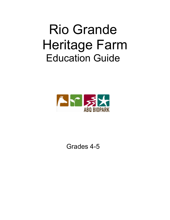# Rio Grande Heritage Farm Education Guide



Grades 4-5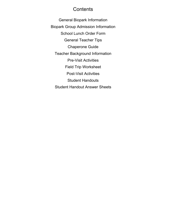#### **Contents**

General Biopark Information Biopark Group Admission Information School Lunch Order Form General Teacher Tips Chaperone Guide Teacher Background Information Pre-Visit Activities Field Trip Worksheet Post-Visit Activities Student Handouts Student Handout Answer Sheets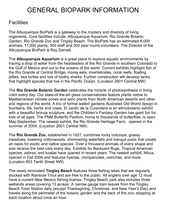# GENERAL BIOPARK INFORMATION

#### **Facilities**

The Albuquerque BioPark is a gateway to the mystery and diversity of living organisms. Core facilities include: Albuquerque Aquarium, Rio Grande Botanic Garden, Rio Grande Zoo and Tingley Beach. The BioPark has an estimated 6,000 animals, 11,000 plants, 300 staff and 300 year-round volunteers. The Director of the Albuquerque BioPark is Ray Darnell.

The **Albuquerque Aquarium** is a great place to explore aquatic environments by tracing a drop of water from the headwaters of the Rio Grande in southern Colorado to the Gulf of Mexico and out to the oceans of the world. Current exhibits highlight fish of the Rio Grande at Central Bridge, moray eels, invertebrates, coral reefs, floating jellies, sea turtles and lots of toothy sharks. Further construction will develop tanks that highlight species that live in the Pacific Ocean. (Location 2601 Central NW)

The **Rio Grande Botanic Garden** celebrates the miracle of photosynthesis in living color every day. Our state-of-the-art glass conservatories feature plants native to Mediterranean climate zones and xeric plants from North American deserts and other arid regions of the world. A trio of formal walled gardens illustrates Old World design in fountains, tile, herbs and roses. El Jardin de la Curandera is an ethnobotanic exhibit with a beautiful bronze sculpture, and the Children's Fantasy Garden has giant fun for kids of all ages. The PNM Butterfly Pavilion, home to thousands of butterflies, is open May-September. The newest exhibit, the Rio Grande Heritage Farm, opened in the summer of 2004. (Location 2601 Central NW)

The **Rio Grande Zoo**, established in 1927, combines rocky outcrops, grassy meadows, towering cottonwoods, shimmering waterfalls and tranquil pools that create an oasis for exotic and native species. Over a thousand animals of every shape and size receive the best care every day. Exhibits for Backyard Bugs, Tropical American species, zebras, and koalas have opened in recent years. The newest exhibit, Africa, opened in Fall 2004 and features hyenas, chimpanzees, ostriches, and more. (Location 903 Tenth Street NW)

The newly renovated **Tingley Beach** features three fishing lakes that are regularly stocked with Rainbow Trout and are free to the public. All anglers over age 12 must have a current New Mexico fishing license. Tingley Beach park also includes three wetlands areas covering 13 acreas. A narrow gauge train leaves from the Tingley Beach Train Station daily (except Thanksgiving, Christmas, and New Year's Day) and travels along the perimeter of the botanic garden and the back of the zoo, stopping at each location about once an hour.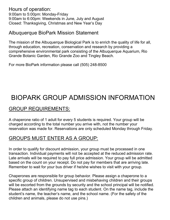Hours of operation: 9:00am to 5:00pm: Monday-Friday 9:00am to 6:00pm: Weekends in June, July and August Closed: Thanksgiving, Christmas and New Year's Day

#### Albuquerque BioPark Mission Statement

The mission of the Albuquerque Biological Park is to enrich the quality of life for all, through education, recreation, conservation and research by providing a comprehensive environmental park consisting of the Albuquerque Aquarium, Rio Grande Botanic Garden, Rio Grande Zoo and Tingley Beach.

For more BioPark information please call (505) 248-8500

# BIOPARK GROUP ADMISSION INFORMATION

### GROUP REQUIREMENTS:

A chaperone ratio of 1 adult for every 5 students is required. Your group will be charged according to the total number you arrive with, not the number your reservation was made for. Reservations are only scheduled Monday through Friday.

## GROUPS MUST ENTER AS A GROUP:

In order to qualify for discount admission, your group must be processed in one transaction. Individual payments will not be accepted at the reduced admission rate. Late arrivals will be required to pay full price admission. Your group will be admitted based on the count on your receipt. Do not pay for members that are arriving late. Remember to wait for your bus driver if he/she wishes to visit with your group.

Chaperones are responsible for group behavior. Please assign a chaperone to a specific group of children. Unsupervised and misbehaving children and their groups will be escorted from the grounds by security and the school principal will be notified. Please attach an identifying name tag to each student. On the name tag, include the student's name, the teacher's name, and the school name. (For the safety of the children and animals, please do not use pins.)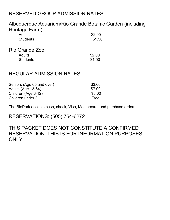### RESERVED GROUP ADMISSION RATES:

#### Albuquerque Aquarium/Rio Grande Botanic Garden (including Heritage Farm)

| 1.1<br><b>Adults</b><br><b>Students</b> | \$2.00<br>\$1.50 |
|-----------------------------------------|------------------|
| Rio Grande Zoo                          |                  |
| Adults<br><b>Students</b>               | \$2.00<br>\$1.50 |

#### REGULAR ADMISSION RATES:

| Seniors (Age 65 and over) | \$3.00 |
|---------------------------|--------|
| Adults (Age 13-64)        | \$7.00 |
| Children (Age 3-12)       | \$3.00 |
| Children under 3          | Free   |

The BioPark accepts cash, check, Visa, Mastercard, and purchase orders.

RESERVATIONS: (505) 764-6272

THIS PACKET DOES NOT CONSTITUTE A CONFIRMED RESERVATION. THIS IS FOR INFORMATION PURPOSES ONLY.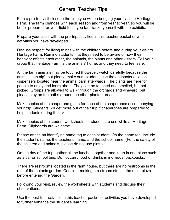#### General Teacher Tips

Plan a pre-trip visit close to the time you will be bringing your class to Heritage Farm. The farm changes with each season and from year to year, so you will be better prepared for your field trip if you familiarize yourself with the exhibits.

Prepare your class with the pre-trip activities in this teacher packet or with activities you have developed.

Discuss respect for living things with the children before and during your visit to Heritage Farm. Remind students that they need to be aware of how their behavior affects each other, the animals, the plants and other visitors. Tell your group that Heritage Farm is the animals' home, and they need to feel safe.

All the farm animals may be touched (however, watch carefully because the animals can nip), but please make sure students use the antibacterial lotion dispensers located near the animal barn afterwards. The plants are here for people to enjoy and learn about. They can be touched and smelled, but not picked. Groups are allowed to walk through the orchards and vineyard, but please stay on the paths around the other planted areas.

Make copies of the chaperone guide for each of the chaperones accompanying your trip. Students will get more out of their trip if chaperones are prepared to help students during their visit.

Make copies of the student worksheets for students to use while at Heritage Farm. Clipboards are welcome.

Please attach an identifying name tag to each student. On the name tag, include the student's name, the teacher's name, and the school name. (For the safety of the children and animals, please do not use pins.)

On the day of the trip, gather all the lunches together and keep in one place such as a car or school bus. Do not carry food or drinks in individual backpacks.

There are restrooms located in the farm house, but there are no restrooms in the rest of the botanic garden. Consider making a restroom stop in the main plaza before entering the Garden.

Following your visit, review the worksheets with students and discuss their observations.

Use the post-trip activities in this teacher packet or activities you have developed to further enhance the student's learning.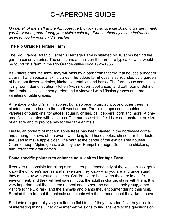# CHAPERONE GUIDE

*On behalf of the staff at the Albuquerque BioPark's Rio Grande Botanic Garden, thank you for your support during your child's field trip. Please abide by all the instructions given to you by your child's teacher.* 

#### **The Rio Grande Heritage Farm**

The Rio Grande Botanic Garden's Heritage Farm is situated on 10 acres behind the garden conservatories. The crops and animals on the farm are typical of what would be found on a farm in the Rio Grande valley circa 1925-1935.

As visitors enter the farm, they will pass by a barn from that era that houses a modern cider mill and seasonal exhibit area. The adobe farmhouse is surrounded by a garden of heirloom flower varieties, kitchen vegetables and herbs. The farmhouse contains a living room, demonstration kitchen (with modern appliances) and bathrooms. Behind the farmhouse is a kitchen garden and a vineyard with Mission grapes and three varieties of table grapes.

A heritage orchard (mainly apples, but also pear, plum, apricot and other trees) is planted near the barn in the northwest corner. The field crops contain heirloom varieties of pumpkins, tomatoes, squash, chilies, bell peppers, corn and more. A oneacre field is planted with tall grass. The purpose of the field is to demonstrate the size of an acre and to provide hay for the farm animals.

Finally, an orchard of modern apple trees has been planted in the northwest corner and among the rows of the overflow parking lot. These apples, chosen for their taste, are used to make apple cider. The barn at the center of the exhibit area houses Churro sheep, Alpine goats, a Jersey cow, Hampshire hogs, Dominique chickens, and Percheron draft horses.

#### **Some specific pointers to enhance your visit to Heritage Farm:**

If you are responsible for taking a small group independently of the whole class, get to know the children's names and make sure they know who you are and understand they must stay with you at all times. Children learn best when they are in a safe environment, and they will feel safest if you, the adult in charge, stays with them. It is very important that the children respect each other, the adults in their group, other visitors to the BioPark, and the animals and plants they encounter during their visit. Remind them to treat the animals and plants with the same respect they like to have.

Students are generally very excited on field trips. If they move too fast, they miss lots of interesting things. Check the interpretive signs to find answers to the questions on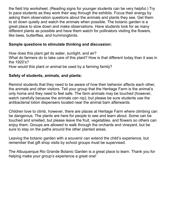the field trip worksheet. (Reading signs for younger students can be very helpful.) Try to pace students as they work their way through the exhibits. Focus their energy by asking them observation questions about the animals and plants they see. Get them to sit down quietly and watch the animals when possible. The botanic garden is a great place to slow down and make observations. Have students look for as many different plants as possible and have them watch for pollinators visiting the flowers, like bees, butterflies, and hummingbirds.

#### **Sample questions to stimulate thinking and discussion:**

How does this plant get its water, sunlight, and air? What do farmers do to take care of this plant? How is that different today than it was in the 1920's? How would this plant or animal be used by a farming family?

#### **Safety of students, animals, and plants:**

Remind students that they need to be aware of how their behavior affects each other, the animals and other visitors. Tell your group that the Heritage Farm is the animal's only home and they need to feel safe. The farm animals may be touched (however, watch carefully because the animals can nip), but please be sure students use the antibacterial lotion dispensers located near the animal barn afterwards.

Children love to climb, however, there are places at Heritage Farm where climbing can be dangerous. The plants are here for people to see and learn about. Some can be touched and smelled, but please leave the fruit, vegetables, and flowers so others can enjoy them. Groups are allowed to walk through the orchards and vineyard, but be sure to stay on the paths around the other planted areas.

Leaving the botanic garden with a souvenir can extend the child's experience, but remember that gift shop visits by school groups must be supervised.

The Albuquerque Rio Grande Botanic Garden is a great place to learn. Thank you for helping make your group's experience a great one!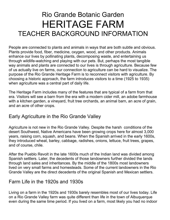# Rio Grande Botanic Garden HERITAGE FARM TEACHER BACKGROUND INFORMATION

People are connected to plants and animals in ways that are both subtle and obvious. Plants provide food, fiber, medicine, oxygen, wood, and other products. Animals enhance our lives by pollinating plants, decomposing waste, and entertaining us through wildlife-watching and playing with our pets. But, perhaps the most tangible way animals and plants are connected to our lives is through agriculture. Because few of us actually live on farms, our connection to agriculture can be hard to visualize. The purpose of the Rio Grande Heritage Farm is to reconnect visitors with agriculture. By choosing a historic approach, the farm introduces visitors to a time (1925 to 1935) when agriculture was a central part of daily life.

The Heritage Farm includes many of the features that are typical of a farm from that era. Visitors will see a barn from the era with a modern cider mill, an adobe farmhouse with a kitchen garden, a vineyard, fruit tree orchards, an animal barn, an acre of grain, and an acre of other crops.

#### Early Agriculture in the Rio Grande Valley

Agriculture is not new in the Rio Grande Valley. Despite the harsh conditions of the desert Southwest, Native Americans have been growing crops here for almost 3,000 years, raising corn, squash, and beans. When the Spanish arrived in the early 1600s, they introduced wheat, barley, cabbage, radishes, onions, lettuce, fruit trees, grapes, and of course, chile.

After the Pueblo Revolt in the late 1600s much of the Indian land was divided among Spanish settlers. Later, the decedents of those landowners further divided the lands through land sales and inheritances. By the middle of the 1800s most landowners lived on very small farms and homesteads. Some of the current landowners in the Rio Grande Valley are the direct decedents of the original Spanish and Mexican settlers.

#### Farm Life in the 1920s and 1930s

Living on a farm in the 1920s and 1930s barely resembles most of our lives today. Life on a Rio Grande Valley farm was quite different than life in the town of Albuquerque even during the same time period. If you lived on a farm, most likely you had no indoor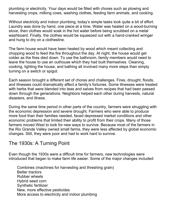plumbing or electricity. Your days would be filled with chores such as plowing and harvesting crops, milking cows, washing clothes, feeding farm animals, and cooking.

Without electricity and indoor plumbing, today's simple tasks took quite a bit of effort. Laundry was done by hand, one piece at a time. Water was heated on a wood-burning stove, then clothes would soak in the hot water before being scrubbed on a metal washboard. Finally, the clothes would be squeezed out with a hand-cranked wringer and hung to dry on a clothesline.

The farm house would have been heated by wood which meant collecting and chopping wood to feed the fire throughout the day. At night, the house would get colder as the fires died down. To use the bathroom, family members would need to leave the house to use an outhouse which they had built themselves. Cleaning, cooking, lighting the house, and bathing all involved many more steps than simply turning on a switch or spigot.

Each season brought a different set of chores and challenges. Fires, drought, floods, and illnesses could dramatically affect a family's fortunes. Some illnesses were treated with herbs that were blended into teas and salves from recipes that had been passed down through the generations. Neighbors helped each other during harvests, natural disasters, and illness.

During the same time period in other parts of the country, farmers were struggling with the economic depression and severe drought. Farmers who were able to produce more food than their families needed, faced depressed market conditions and other economic problems that limited their ability to profit from their crops. Many of those farmers moved West to look for new ways to survive. Because most of the farmers in the Rio Grande Valley owned small farms, they were less affected by global economic changes. Still, they were poor and had to work hard to survive.

#### The 1930s: A Turning Point

Even though the 1930s were a difficult time for farmers, new technologies were introduced that began to make farm life easier. Some of the major changes included:

Combines (machines for harvesting and threshing grain) Better tractors Rubber wheels Hybrid seed corn Synthetic fertilizer New, more effective pesticides More access to electricity and indoor plumbing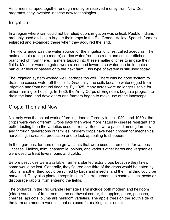As farmers scraped together enough money or received money from New Deal programs, they invested in these new technologies.

#### Irrigation

In a region where rain could not be relied upon, irrigation was critical. Pueblo Indians probably used ditches to irrigate their crops in the Rio Grande Valley. Spanish farmers enlarged and expanded these when they acquired the land.

The Rio Grande was the water source for the irrigation ditches, called acequias. The main acequia (acequia madre) carries water from upstream and smaller ditches branched off from there. Farmers tapped into these smaller ditches to irrigate their fields. Metal or wooden gates were raised and lowered so water can be let onto a particular field or passed onto the next farm. This type of system is still used today.

The irrigation system worked well, perhaps too well. There was no good system to drain the excess water off the fields. Gradually, the soils became waterlogged from irrigation and from natural flooding. By 1925, many acres were no longer usable for either farming or housing. In 1930, the Army Corps of Engineers began a program to drain the land, and developers and farmers began to make use of the landscape.

### Crops: Then and Now

Not only was the actual work of farming done differently in the 1920s and 1930s, the crops were very different. Crops back then were more naturally disease resistant and better tasting than the varieties used currently. Seeds were passed among farmers and through generations of families. Modern crops have been chosen for mechanical harvesting, increased production and to look appealing to shoppers.

In their gardens, farmers often grew plants that were used as remedies for various illnesses. Mallow, mint, chamomile, onions, and various other herbs and vegetables were used to treat fevers, pain, and colds.

Before pesticides were available, farmers planted extra crops because they knew some would be lost. Generally, they figured one third of the crops would be eaten by rabbits, another third would be ruined by birds and insects, and the final third could be harvested. They also planted crops in specific arrangements to control insect pests or discourage rabbits from entering the fields.

The orchards in the Rio Grande Heritage Farm include both modern and heirloom (older) varieties of fruit trees. In the northwest corner, the apples, pears, peaches, cherries, apricots, plums are heirloom varieties. The apple trees on the south side of the farm are modern varieties that are used for making cider on site.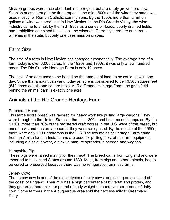Mission grapes were once abundant in the region, but are rarely grown here now. Spanish priests brought the first grapes in the mid-1600s and the wine they made was used mostly for Roman Catholic communions. By the 1800s more than a million gallons of wine was produced in New Mexico. In the Rio Grande Valley, the wine industry came to a halt by the mid 1930s as a series of floods, poorly drained fields, and prohibition combined to close all the wineries. Currently there are numerous wineries in the state, but only one uses mission grapes.

#### Farm Size

The size of a farm in New Mexico has changed exponentially. The average size of a farm today is over 3,000 acres. In the 1920s and 1930s, it was only a few hundred acres. The Rio Grande Heritage Farm is only 10 acres.

The size of an acre used to be based on the amount of land an ox could plow in one day. Since that amount can vary, today an acre is considered to be 43,560 square feet (640 acres equals one square mile). At Rio Grande Heritage Farm, the grain field behind the animal barn is exactly one acre.

### Animals at the Rio Grande Heritage Farm

Percheron Horse:

This large horse breed was favored for heavy work like pulling large wagons. They were brought to the United States in the mid-1800s and became quite popular. By the 1930s, more than 70% of the registered draft horses in the U.S. were of this breed, but once trucks and tractors appeared, they were rarely used. By the middle of the 1950s, there were only 100 Percherons in the U.S. The two males at Heritage Farm came from an Amish farm in Indiana and are used for pulling most of the farm equipment including a disc cultivator, a plow, a manure spreader, a seeder, and wagons.

Hampshire Pig:

These pigs were raised mainly for their meat. The breed came from England and were imported to the United States around 1830. Meat, from pigs and other animals, had to be cured or preserved because there was no refrigeration on most farms.

#### Jersey Cow:

The Jersey cow is one of the oldest types of dairy cows, originating on an island off the coast of England. Their milk has a high percentage of butterfat and protein, and they generate more milk per pound of body weight than many other breeds of dairy cow. Some farmers in the Albuquerque area sold their excess milk to Creamland Dairy.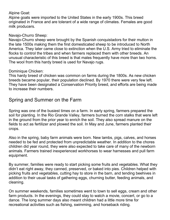#### Alpine Goat:

Alpine goats were imported to the United States in the early 1900s. This breed originated in France and are tolerant of a wide range of climates. Females are good milk producers.

#### Navajo-Churro Sheep:

Navajo-Churro sheep were brought by the Spanish conquistadors for their mutton in the late 1500s making them the first domesticated sheep to be introduced to North America. They later came close to extinction when the U.S. Army tried to eliminate the flocks to control the tribes and when farmers replaced them with other breeds. An unusual characteristic of this breed is that males frequently have more than two horns. The wool from this hardy breed is used for Navajo rugs.

#### Dominique Chicken:

This hardy breed of chicken was common on farms during the 1800s. As new chicken breeds became popular, their population declined. By 1970 there were very few left. They have been designated a Conservation Priority breed, and efforts are being made to increase their numbers.

#### Spring and Summer on the Farm

Spring was one of the busiest times on a farm. In early spring, farmers prepared the soil for planting. In the Rio Grande Valley, farmers burned the corn stalks that were left in the ground from the prior year to enrich the soil. They also spread manure on the fields to act as fertilizer and plowed the soil. In May and June, farmers planted their crops.

Also in the spring, baby farm animals were born. New lambs, pigs, calves, and horses needed to be fed and protected from unpredictable weather. In addition to the chores children did year round, they were also expected to take care of many of the newborn animals. Farmers trained inexperienced workhorses to wear harnesses and pull farm equipment.

By summer, families were ready to start picking some fruits and vegetables. What they didn't eat right away, they canned, preserved, or baked into pies. Children helped with picking fruits and vegetables, cutting hay to store in the barn, and tending beehives in addition to their usual tasks of gathering eggs, churning butter, feeding animals, and cleaning.

On summer weekends, families sometimes went to town to sell eggs, cream and other farm products. In the evenings, they could stay to watch a movie, concert, or go to a dance. The long summer days also meant children had a little more time for recreational activities such as fishing, swimming, and horseback riding.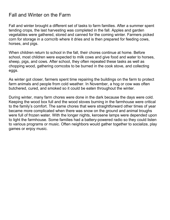#### Fall and Winter on the Farm

Fall and winter brought a different set of tasks to farm families. After a summer spent tending crops, the last harvesting was completed in the fall. Apples and garden vegetables were gathered, stored and canned for the coming winter. Farmers picked corn for storage in a corncrib where it dries and is then prepared for feeding cows, horses, and pigs.

When children return to school in the fall, their chores continue at home. Before school, most children were expected to milk cows and give food and water to horses, sheep, pigs, and cows. After school, they often repeated these tasks as well as chopping wood, gathering corncobs to be burned in the cook stove, and collecting eggs.

As winter got closer, farmers spent time repairing the buildings on the farm to protect farm animals and people from cold weather. In November, a hog or cow was often butchered, cured, and smoked so it could be eaten throughout the winter.

During winter, many farm chores were done in the dark because the days were cold. Keeping the wood box full and the wood stoves burning in the farmhouse were critical to the family's comfort. The same chores that were straightforward other times of year became more complicated when there was snow on the ground and animal troughs were full of frozen water. With the longer nights, kerosene lamps were depended upon to light the farmhouse. Some families had a battery-powered radio so they could listen to various programs or music. Often neighbors would gather together to socialize, play games or enjoy music.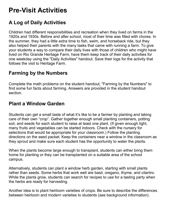# **Pre-Visit Activities**

# **A Log of Daily Activities**

Children had different responsibilities and recreation when they lived on farms in the 1920s and 1930s. Before and after school, most of their time was filled with chores. In the summer, they had a little extra time to fish, swim, and horseback ride, but they also helped their parents with the many tasks that came with running a farm. To give your students a way to compare their daily lives with those of children who might have lived on Rio Grande Heritage Farm, have them keep track of their daily activities for one weekday using the "Daily Activities" handout. Save their logs for the activity that follows the visit to Heritage Farm.

#### **Farming by the Numbers**

Complete the math problems on the student handout, "Farming by the Numbers" to find some fun facts about farming. Answers are provided in the student handout section.

### **Plant a Window Garden**

Students can get a small taste of what it's like to be a farmer by planting and taking care of their own "crop". Gather together enough small planting containers, potting soil, and seeds for each student to raise at least one plant. (If given enough light, many fruits and vegetables can be started indoors. Check with the nursery for selections that would be appropriate for your classroom.) Follow the planting directions on the seed packet. Keep the containers near a window in the classroom as they sprout and make sure each student has the opportunity to water the plants.

When the plants become large enough to transplant, students can either bring them home for planting or they can be transplanted on a suitable area of the school campus.

Alternatively, students can plant a window herb garden, starting with small plants rather than seeds. Some herbs that work well are basil, oregano, thyme, and cilantro. While the plants grow, students can search for recipes to use for a tasting party when the herbs are ready for harvesting.

Another idea is to plant heirloom varieties of crops. Be sure to describe the differences between heirloom and modern varieties to students (see background information).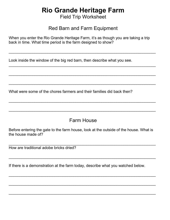# **Rio Grande Heritage Farm**

Field Trip Worksheet

#### Red Barn and Farm Equipment

 $\overline{\phantom{a}}$  , and the contribution of the contribution of the contribution of the contribution of the contribution of the contribution of the contribution of the contribution of the contribution of the contribution of the

 $\overline{a_1}$  , and the set of the set of the set of the set of the set of the set of the set of the set of the set of the set of the set of the set of the set of the set of the set of the set of the set of the set of the se

 $\overline{\phantom{a}}$  , and the contribution of the contribution of the contribution of the contribution of the contribution of the contribution of the contribution of the contribution of the contribution of the contribution of the

 $\overline{\phantom{a}}$  , and the contribution of the contribution of the contribution of the contribution of the contribution of the contribution of the contribution of the contribution of the contribution of the contribution of the

 $\overline{\phantom{a}}$  , and the contribution of the contribution of the contribution of the contribution of the contribution of the contribution of the contribution of the contribution of the contribution of the contribution of the

 $\_$  , and the set of the set of the set of the set of the set of the set of the set of the set of the set of the set of the set of the set of the set of the set of the set of the set of the set of the set of the set of th

When you enter the Rio Grande Heritage Farm, it's as though you are taking a trip back in time. What time period is the farm designed to show?

Look inside the window of the big red barn, then describe what you see.

What were some of the chores farmers and their families did back then?

#### Farm House

Before entering the gate to the farm house, look at the outside of the house. What is the house made of?

 $\overline{a_1}$  , and the contribution of the contribution of the contribution of the contribution of the contribution of the contribution of the contribution of the contribution of the contribution of the contribution of the

 $\overline{a_1}$  , and the set of the set of the set of the set of the set of the set of the set of the set of the set of the set of the set of the set of the set of the set of the set of the set of the set of the set of the se

 $\overline{\phantom{a}}$  , and the contribution of the contribution of the contribution of the contribution of the contribution of the contribution of the contribution of the contribution of the contribution of the contribution of the

 $\overline{\phantom{a}}$  , and the contribution of the contribution of the contribution of the contribution of the contribution of the contribution of the contribution of the contribution of the contribution of the contribution of the

 $\overline{\phantom{a}}$  , and the contribution of the contribution of the contribution of the contribution of the contribution of the contribution of the contribution of the contribution of the contribution of the contribution of the

How are traditional adobe bricks dried?

If there is a demonstration at the farm today, describe what you watched below.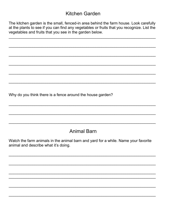#### Kitchen Garden

The kitchen garden is the small, fenced-in area behind the farm house. Look carefully at the plants to see if you can find any vegetables or fruits that you recognize. List the vegetables and fruits that you see in the garden below.

Why do you think there is a fence around the house garden?

## **Animal Barn**

Watch the farm animals in the animal barn and yard for a while. Name your favorite animal and describe what it's doing.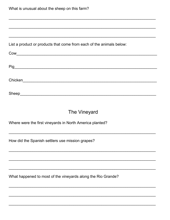List a product or products that come from each of the animals below:

| Cow     |  |  |
|---------|--|--|
|         |  |  |
| Pig     |  |  |
|         |  |  |
| Chicken |  |  |
|         |  |  |

#### The Vineyard

Where were the first vineyards in North America planted?

How did the Spanish settlers use mission grapes?

What happened to most of the vineyards along the Rio Grande?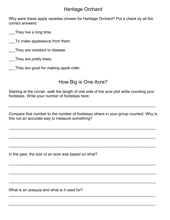### Heritage Orchard

Why were these apple varieties chosen for Heritage Orchard? Put a check by all the correct answers:

They live a long time.

\_\_\_To make applesauce from them.

\_\_\_They are resistant to disease.

\_\_\_They are pretty trees.

They are good for making apple cider.

## How Big is One Acre?

Starting at the corner, walk the length of one side of the acre plot while counting your footsteps. Write your number of footsteps here:

Compare that number to the number of footsteps others in your group counted. Why is this not an accurate way to measure something?

 $\overline{a_1}$  , and the set of the set of the set of the set of the set of the set of the set of the set of the set of the set of the set of the set of the set of the set of the set of the set of the set of the set of the se

 $\overline{a_1}$  , and the set of the set of the set of the set of the set of the set of the set of the set of the set of the set of the set of the set of the set of the set of the set of the set of the set of the set of the se

 $\overline{\phantom{a}}$  , and the contribution of the contribution of the contribution of the contribution of the contribution of the contribution of the contribution of the contribution of the contribution of the contribution of the

 $\overline{\phantom{a}}$  , and the contribution of the contribution of the contribution of the contribution of the contribution of the contribution of the contribution of the contribution of the contribution of the contribution of the

 $\overline{\phantom{a}}$  , and the contribution of the contribution of the contribution of the contribution of the contribution of the contribution of the contribution of the contribution of the contribution of the contribution of the

 $\overline{a_1}$  , and the set of the set of the set of the set of the set of the set of the set of the set of the set of the set of the set of the set of the set of the set of the set of the set of the set of the set of the se

 $\overline{a_1}$  , and the set of the set of the set of the set of the set of the set of the set of the set of the set of the set of the set of the set of the set of the set of the set of the set of the set of the set of the se

 $\overline{a_1}$  , and the set of the set of the set of the set of the set of the set of the set of the set of the set of the set of the set of the set of the set of the set of the set of the set of the set of the set of the se

 $\overline{a_1}$  , and the contribution of the contribution of the contribution of the contribution of the contribution of the contribution of the contribution of the contribution of the contribution of the contribution of the

In the past, the size of an acre was based on what?

What is an acequia and what is it used for?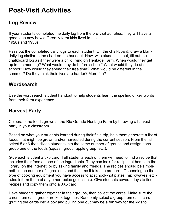# **Post-Visit Activities**

### **Log Review**

If your students completed the daily log from the pre-visit activities, they will have a good idea now how differently farm kids lived in the 1920s and 1930s.

Pass out the completed daily logs to each student. On the chalkboard, draw a blank daily log similar to the chart on the handout. Now, with student's input, fill out the chalkboard log as if they were a child living on Heritage Farm. When would they get up in the morning? What would they do before school? What would they do after school? How would they spend their free time? What would be different in the summer? Do they think their lives are harder? More fun?

#### **Wordsearch**

Use the wordsearch student handout to help students learn the spelling of key words from their farm experience.

#### **Harvest Party**

Celebrate the foods grown at the Rio Grande Heritage Farm by throwing a harvest party in your classroom.

Based on what your students learned during their field trip, help them generate a list of foods that might be grown and/or harvested during the current season. From the list, select 5 or 6 then divide students into the same number of groups and assign each group one of the foods (squash group, apple group, etc.).

Give each student a 3x5 card. Tell students each of them will need to find a recipe that includes their food as one of the ingredients. They can look for recipes at home, in the library, on the Internet, or by asking family and friends. The recipes should be simple both in the number of ingredients and the time it takes to prepare. (Depending on the type of cooking equipment you have access to at school--hot plates, microwaves, etc.- -also inform them of any other recipe guidelines). Give students several days to find recipes and copy them onto a 3X5 card.

Have students gather together in their groups, then collect the cards. Make sure the cards from each group are kept together. Randomly select a group from each card (putting the cards into a box and pulling one out may be a fun way for the kids to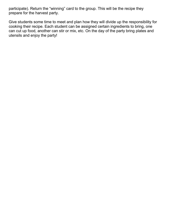participate). Return the "winning" card to the group. This will be the recipe they prepare for the harvest party.

Give students some time to meet and plan how they will divide up the responsibility for cooking their recipe. Each student can be assigned certain ingredients to bring, one can cut up food, another can stir or mix, etc. On the day of the party bring plates and utensils and enjoy the party!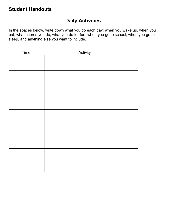#### **Student Handouts**

#### **Daily Activities**

In the spaces below, write down what you do each day: when you wake up, when you eat, what chores you do, what you do for fun, when you go to school, when you go to sleep, and anything else you want to include.

| Time | Activity |
|------|----------|
|      |          |
|      |          |
|      |          |
|      |          |
|      |          |
|      |          |
|      |          |
|      |          |
|      |          |
|      |          |
|      |          |
|      |          |
|      |          |
|      |          |
|      |          |
|      |          |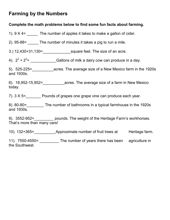### **Farming by the Numbers**

#### **Complete the math problems below to find some fun facts about farming.**

1).  $9 \times 4$  = The number of apples it takes to make a gallon of cider.

2). 95-88= \_\_\_\_\_ The number of minutes it takes a pig to run a mile.

3.) 12,430+31,130=\_\_\_\_\_\_\_\_\_\_\_\_\_square feet. The size of an acre.

4).  $2^2 + 2^2 =$  \_\_\_\_\_\_\_\_\_\_\_\_\_\_\_\_\_\_\_\_\_\_Gallons of milk a dairy cow can produce in a day.

5). 525-225=\_\_\_\_\_\_\_\_\_\_acres. The average size of a New Mexico farm in the 1920s and 1930s.

6). 18,952-15,952=\_\_\_\_\_\_\_\_\_\_acres. The average size of a farm in New Mexico today.

7).  $3 \times 5$  = Pounds of grapes one grape vine can produce each year.

8). 80-80=\_\_\_\_\_\_\_\_ The number of bathrooms in a typical farmhouse in the 1920s and 1930s.

9). 3552-952=\_\_\_\_\_\_\_\_\_\_\_ pounds. The weight of the Heritage Farm's workhorses. That's more than many cars!

10). 132+365= Approximate number of fruit trees at Heritage farm.

11). 7550-4550= \_\_\_\_\_\_\_\_\_\_\_ The number of years there has been agriculture in the Southwest.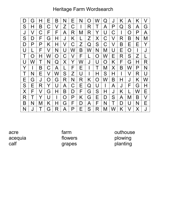# Heritage Farm Wordsearch

|              | G                |   | F | B   | N | Е | N | $\bigcap$ | W            | $\omega$ | J | K | A         | Κ |   |
|--------------|------------------|---|---|-----|---|---|---|-----------|--------------|----------|---|---|-----------|---|---|
| S            |                  | Β | С | V   | Z | C |   | R         |              | A        | Р | Q | S         | A | G |
| J            | V                | С | F | F   | A | R | M | R         | Y            | U        | С |   | ∩         | Р | A |
| S            | D                | F | G | H   | J | Κ |   | Z         | X            | С        | V | R | Β         | N | M |
| D            | Р                | Р | Κ | H   | V | C | Z | Q         | S            | С        | V | Β | Е         | Е | Y |
| U            |                  | F | V | N   | U | W | Β | W         | N            | M        | U | Е | $\bigcap$ |   | J |
|              | $\left( \right)$ | H | W | ( ) | С | V | F |           | $\Omega$     | W        | Ε | R | S         | Z |   |
| $\mathsf{U}$ | W                |   | N | Q   | Χ | Y | W | J         | $\mathsf{U}$ | O        | Κ | F | G         | H | R |
| Y            |                  | Β | C | A   |   | F | Е |           |              | Μ        | Χ | Β | W         | P | N |
|              | N                | Е | V | W   | S | Z | U |           | H            | S        | H |   | V         | R | U |
| Ε            | G                | J | O | G   | R | N | R | Κ         | $\Omega$     | W        | B |   | J         | Κ | W |
| S            | Е                | R | Y | U   | A | C | Е | Q         | U            |          | A | J | F         | G | Η |
| X            | F                | V | G | H   | Β | D | F | G         | S            | H        | J | Κ |           | W | Е |
| R            |                  | Y | U |     | O | P | Κ | G         | Е            | D        | S | A | M         | Β | V |
| B            | N                | M | Κ | H   | G | F | D | A         | F            | N        | T | D | U         | N | Е |
| N            | J                |   | G | R   | A | Р | Е | S         | R            | M        | W | Κ | V         | Χ | J |

acre acequia calf

farm flowers grapes

outhouse plowing planting